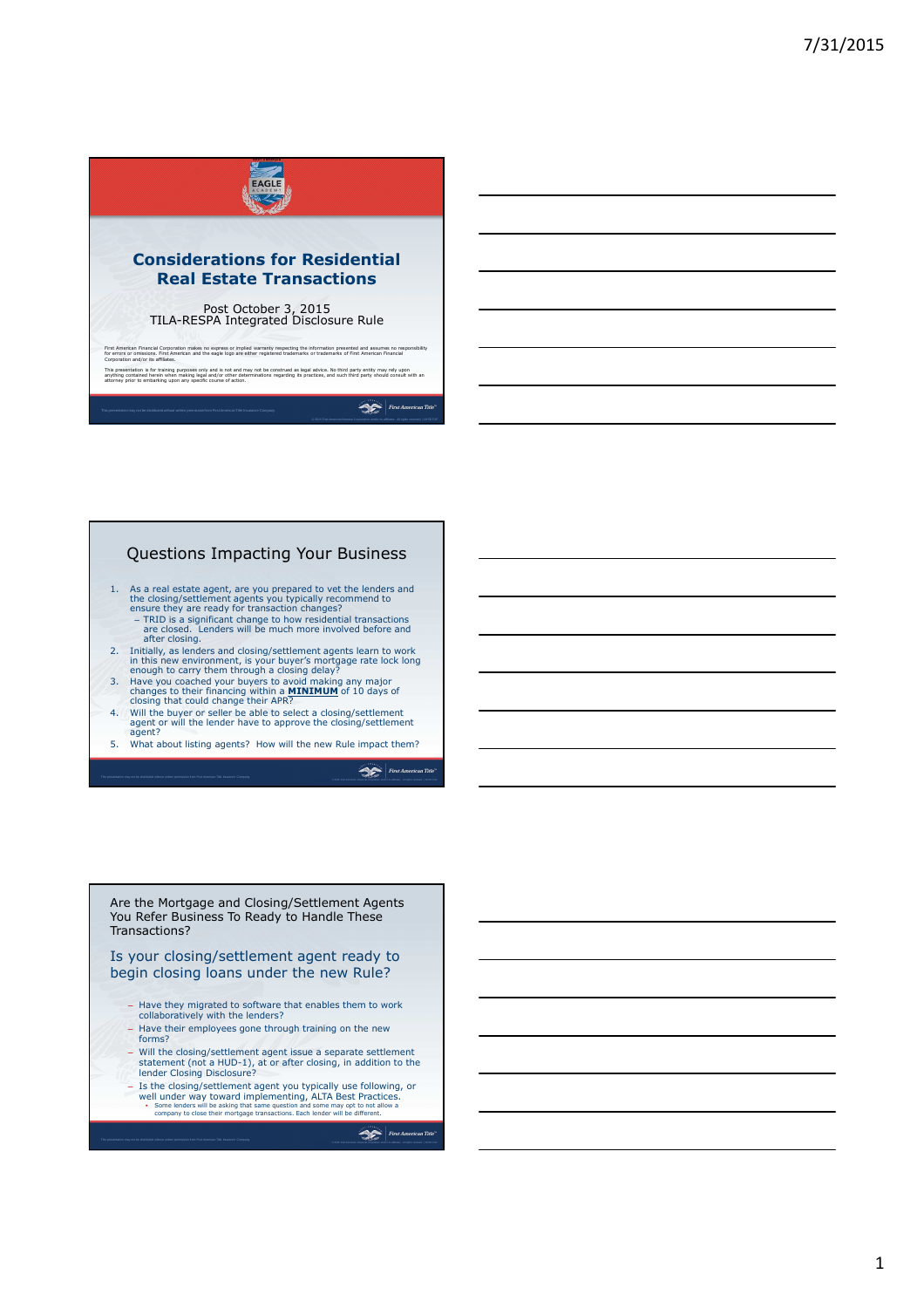

# Questions Impacting Your Business

- 1. As a real estate agent, are you prepared to vet the lenders and<br>the closing/settlement agents you typically recommend to<br>ensure they are ready for transaction changes?<br>- TRID is a significant change to how residential t
- after closing.
- 2. Initially, as lenders and closing/settlement agents learn to work<br>in this new environment, is your buyer's mortgage rate lock long<br>enough to carry them through a closing delay?<br>3. Have you coached your buyers to avoid
- 
- 4. Will the buyer or seller be able to select a closing/settlement<br>agent or will the lender have to approve the closing/settlement<br>agent?
- 5. What about listing agents? How will the new Rule impact them?

First American Title

#### Are the Mortgage and Closing/Settlement Agents You Refer Business To Ready to Handle These Transactions?

### Is your closing/settlement agent ready to begin closing loans under the new Rule?

- Have they migrated to software that enables them to work collaboratively with the lenders?
- Have their employees gone through training on the new forms?
- Will the closing/settlement agent issue a separate settlement statement (not a HUD-1), at or after closing, in addition to the lender Closing Disclosure?
- Is the closing/settlement agent you typically use following, or well under way toward implementing, ALTA Best Practices.<br>
• Some lenders will be asking that same question and some may opt to not allow a<br>
company to close their mortgage transactions. Each lender will be different.

 $\sum$  First American Title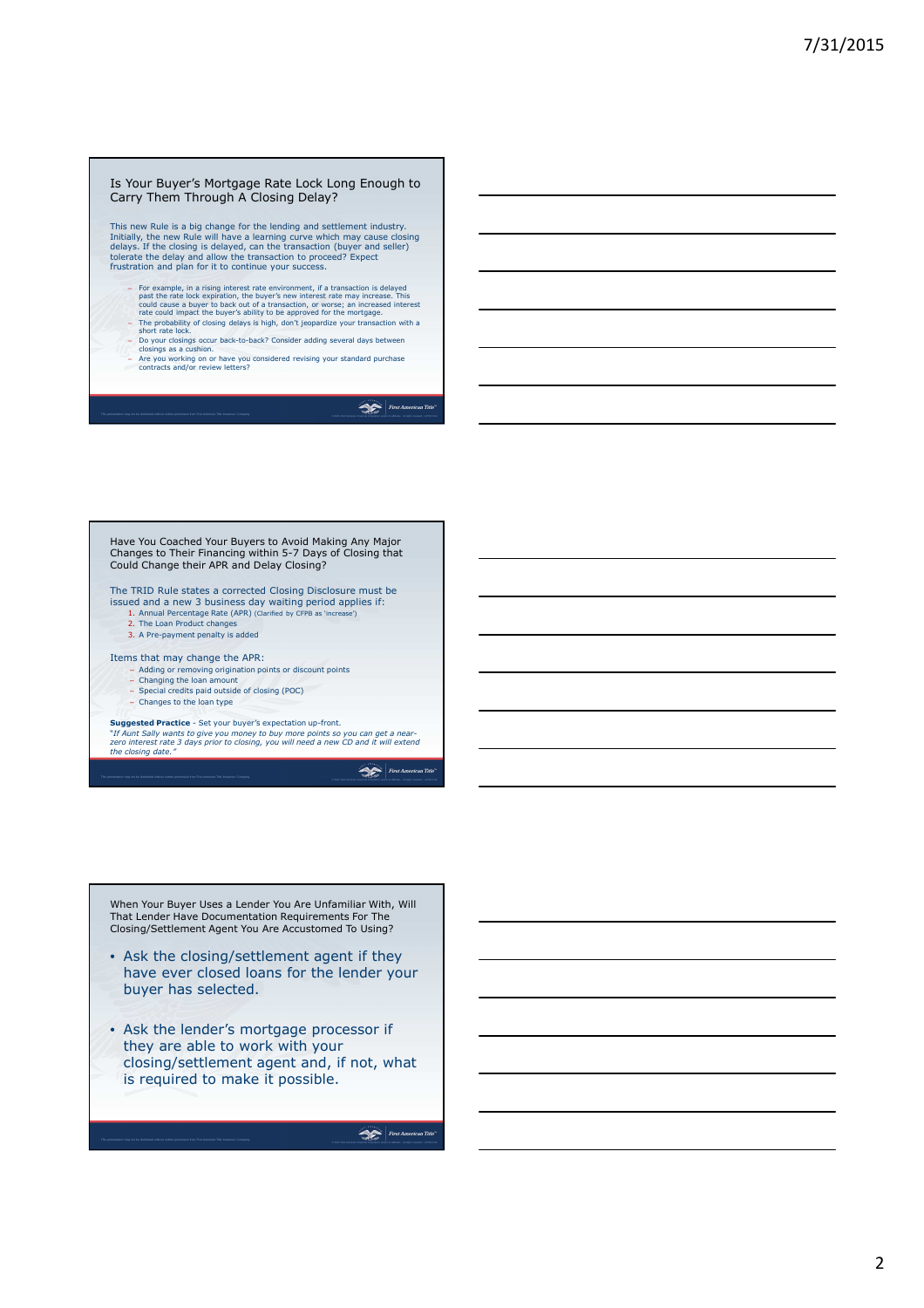#### Is Your Buyer's Mortgage Rate Lock Long Enough to Carry Them Through A Closing Delay?

This new Rule is a big change for the lending and settlement industry.<br>Initially, the new Rule will have a learning curve which may cause closing<br>delays. If the closing is delayed, can the transaction (buyer and seller)<br>to frustration and plan for it to continue your success.

- 
- For example, in a rising interest rate environment, if a transaction is delayed<br>past the rate lock expiration, the buyer's new interest rate may increase. This<br>could cause a buyer to back out of a transaction, or worse; an
- Do your closings occur back-to-back? Consider adding several days between closings as a cushion.
- Are you working on or have you considered revising your standard purchase contracts and/or review letters?

First American Title

Have You Coached Your Buyers to Avoid Making Any Major Changes to Their Financing within 5-7 Days of Closing that Could Change their APR and Delay Closing?

The TRID Rule states a corrected Closing Disclosure must be

- issued and a new 3 business day waiting period applies if: 1. Annual Percentage Rate (APR) (Clarified by CFPB as 'increase') 2. The Loan Product changes
	- 3. A Pre-payment penalty is added

#### Items that may change the APR:

- Adding or removing origination points or discount points Changing the loan amount
- 
- Special credits paid outside of closing (POC) – Changes to the loan type
- 

**Suggested Practice** - Set your buyer's expectation up-front.

"*If Aunt Sally wants to give you money to buy more points so you can get a near-zero interest rate 3 days prior to closing, you will need a new CD and it will extend the closing date."* 

First American Title

When Your Buyer Uses a Lender You Are Unfamiliar With, Will That Lender Have Documentation Requirements For The Closing/Settlement Agent You Are Accustomed To Using?

- Ask the closing/settlement agent if they have ever closed loans for the lender your buyer has selected.
- Ask the lender's mortgage processor if they are able to work with your closing/settlement agent and, if not, what is required to make it possible.

 $\sum$  First American Title